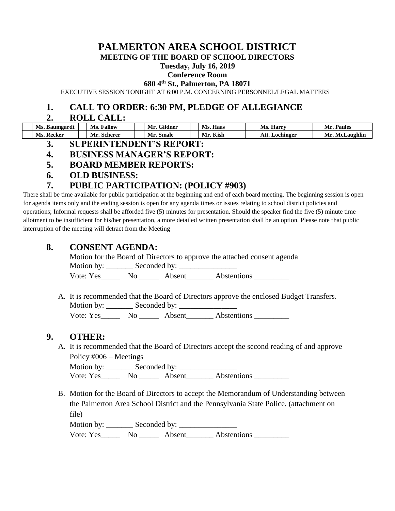# **PALMERTON AREA SCHOOL DISTRICT**

**MEETING OF THE BOARD OF SCHOOL DIRECTORS**

#### **Tuesday, July 16, 2019**

#### **Conference Room**

**680 4th St., Palmerton, PA 18071**

EXECUTIVE SESSION TONIGHT AT 6:00 P.M. CONCERNING PERSONNEL/LEGAL MATTERS

#### **1. CALL TO ORDER: 6:30 PM, PLEDGE OF ALLEGIANCE**

#### **2. ROLL CALL:**

| Ms.<br>Baumgardt | <b>Fallow</b><br>Ms. | $\sim \cdot$<br>Mr.<br>Gildner | Haas             | Ms.<br>Harry      | <b>Paules</b><br>Mr   |
|------------------|----------------------|--------------------------------|------------------|-------------------|-----------------------|
| Ms. Recker       | Scherer<br>Mı        | Mr.<br>. Smale                 | $\cdots$<br>Kish | Att.<br>Lochinger | Mr<br>:Laughlin<br>Mc |

- **3. SUPERINTENDENT'S REPORT:**
- **4. BUSINESS MANAGER'S REPORT:**
- **5. BOARD MEMBER REPORTS:**
- **6. OLD BUSINESS:**

# **7. PUBLIC PARTICIPATION: (POLICY #903)**

There shall be time available for public participation at the beginning and end of each board meeting. The beginning session is open for agenda items only and the ending session is open for any agenda times or issues relating to school district policies and operations; Informal requests shall be afforded five (5) minutes for presentation. Should the speaker find the five (5) minute time allotment to be insufficient for his/her presentation, a more detailed written presentation shall be an option. Please note that public interruption of the meeting will detract from the Meeting

# **8. CONSENT AGENDA:**

Motion for the Board of Directors to approve the attached consent agenda Motion by: Seconded by:

Vote: Yes\_\_\_\_\_\_\_\_ No \_\_\_\_\_\_\_\_ Absent\_\_\_\_\_\_\_\_ Abstentions \_\_\_\_\_\_\_

A. It is recommended that the Board of Directors approve the enclosed Budget Transfers. Motion by: Seconded by: Vote: Yes\_\_\_\_\_\_\_\_ No \_\_\_\_\_\_\_\_ Absent\_\_\_\_\_\_\_\_ Abstentions \_\_\_\_\_\_\_\_\_\_\_\_\_\_\_\_\_\_\_\_\_\_\_

# **9. OTHER:**

A. It is recommended that the Board of Directors accept the second reading of and approve Policy #006 – Meetings

Motion by: \_\_\_\_\_\_\_ Seconded by: \_\_\_\_\_\_\_\_\_\_\_\_\_\_\_ Vote: Yes\_\_\_\_\_\_\_ No \_\_\_\_\_\_ Absent\_\_\_\_\_\_\_\_ Abstentions \_\_\_\_\_\_\_\_\_\_

B. Motion for the Board of Directors to accept the Memorandum of Understanding between the Palmerton Area School District and the Pennsylvania State Police. (attachment on file)

Motion by: \_\_\_\_\_\_\_ Seconded by: \_\_\_\_\_\_\_\_\_\_\_\_\_\_\_

Vote: Yes No Absent Abstentions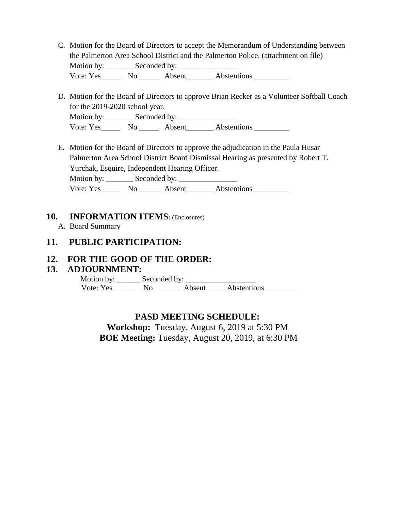- C. Motion for the Board of Directors to accept the Memorandum of Understanding between the Palmerton Area School District and the Palmerton Police. (attachment on file) Motion by: \_\_\_\_\_\_\_\_ Seconded by: \_\_\_\_\_\_\_\_\_\_ Vote: Yes No Absent Abstentions
- D. Motion for the Board of Directors to approve Brian Recker as a Volunteer Softball Coach for the 2019-2020 school year. Motion by: \_\_\_\_\_\_\_ Seconded by: \_\_\_\_\_\_\_\_\_\_\_\_\_\_\_ Vote: Yes\_\_\_\_\_\_\_ No \_\_\_\_\_\_ Absent\_\_\_\_\_\_\_ Abstentions \_\_\_\_\_\_\_\_\_\_\_\_\_\_\_\_\_\_\_\_\_\_\_\_\_\_\_
- E. Motion for the Board of Directors to approve the adjudication in the Paula Husar Palmerton Area School District Board Dismissal Hearing as presented by Robert T. Yurchak, Esquire, Independent Hearing Officer.

Motion by: \_\_\_\_\_\_\_\_\_\_\_ Seconded by:

Vote: Yes\_\_\_\_\_\_\_\_\_ No \_\_\_\_\_\_\_\_ Absent\_\_\_\_\_\_\_\_\_ Abstentions

#### **10. INFORMATION ITEMS:** (Enclosures)

A. Board Summary

# **11. PUBLIC PARTICIPATION:**

### **12. FOR THE GOOD OF THE ORDER:**

### **13. ADJOURNMENT:**

 Motion by: \_\_\_\_\_\_ Seconded by: \_\_\_\_\_\_\_\_\_\_\_\_\_\_\_\_\_\_ Vote: Yes\_\_\_\_\_\_\_\_\_ No \_\_\_\_\_\_\_\_\_ Absent\_\_\_\_\_\_ Abstentions \_

# **PASD MEETING SCHEDULE:**

**Workshop:** Tuesday, August 6, 2019 at 5:30 PM **BOE Meeting:** Tuesday, August 20, 2019, at 6:30 PM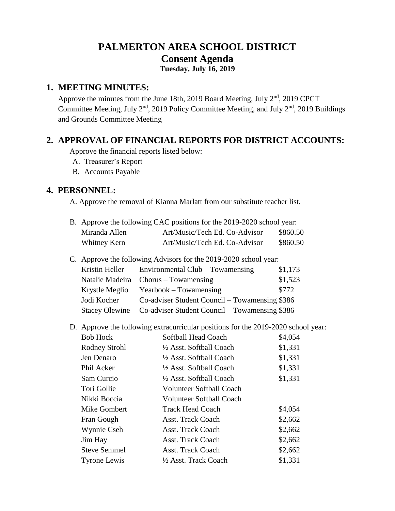# **PALMERTON AREA SCHOOL DISTRICT Consent Agenda Tuesday, July 16, 2019**

### **1. MEETING MINUTES:**

Approve the minutes from the June 18th, 2019 Board Meeting, July  $2<sup>nd</sup>$ , 2019 CPCT Committee Meeting, July 2<sup>nd</sup>, 2019 Policy Committee Meeting, and July 2<sup>nd</sup>, 2019 Buildings and Grounds Committee Meeting

# **2. APPROVAL OF FINANCIAL REPORTS FOR DISTRICT ACCOUNTS:**

Approve the financial reports listed below:

A. Treasurer's Report

B. Accounts Payable

# **4. PERSONNEL:**

A. Approve the removal of Kianna Marlatt from our substitute teacher list.

| B. Approve the following CAC positions for the 2019-2020 school year: |                               |          |  |  |
|-----------------------------------------------------------------------|-------------------------------|----------|--|--|
| Miranda Allen                                                         | Art/Music/Tech Ed. Co-Advisor | \$860.50 |  |  |
| Whitney Kern                                                          | Art/Music/Tech Ed. Co-Advisor | \$860.50 |  |  |

C. Approve the following Advisors for the 2019-2020 school year:

| Kristin Heller        | Environmental Club – Towamensing               | \$1,173 |
|-----------------------|------------------------------------------------|---------|
|                       | Natalie Madeira Chorus - Towamensing           | \$1,523 |
| Krystle Meglio        | $Yearbook - Towamensing$                       | \$772   |
| Jodi Kocher           | Co-adviser Student Council – Towamensing \$386 |         |
| <b>Stacey Olewine</b> | Co-adviser Student Council – Towamensing \$386 |         |

D. Approve the following extracurricular positions for the 2019-2020 school year:

| <b>Bob Hock</b>     | Softball Head Coach             | \$4,054 |
|---------------------|---------------------------------|---------|
| Rodney Strohl       | 1/2 Asst. Softball Coach        | \$1,331 |
| Jen Denaro          | 1/2 Asst. Softball Coach        | \$1,331 |
| Phil Acker          | 1/2 Asst. Softball Coach        | \$1,331 |
| Sam Curcio          | 1/2 Asst. Softball Coach        | \$1,331 |
| Tori Gollie         | <b>Volunteer Softball Coach</b> |         |
| Nikki Boccia        | <b>Volunteer Softball Coach</b> |         |
| Mike Gombert        | <b>Track Head Coach</b>         | \$4,054 |
| Fran Gough          | <b>Asst. Track Coach</b>        | \$2,662 |
| Wynnie Cseh         | <b>Asst. Track Coach</b>        | \$2,662 |
| Jim Hay             | <b>Asst. Track Coach</b>        | \$2,662 |
| <b>Steve Semmel</b> | <b>Asst. Track Coach</b>        | \$2,662 |
| <b>Tyrone Lewis</b> | 1/2 Asst. Track Coach           | \$1,331 |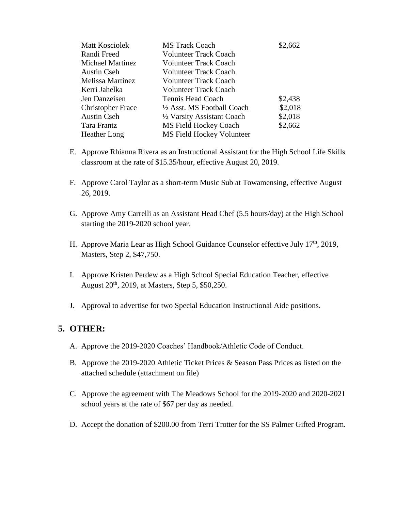| <b>Matt Kosciolek</b>    | <b>MS Track Coach</b>        | \$2,662 |
|--------------------------|------------------------------|---------|
| Randi Freed              | <b>Volunteer Track Coach</b> |         |
| <b>Michael Martinez</b>  | <b>Volunteer Track Coach</b> |         |
| <b>Austin Cseh</b>       | <b>Volunteer Track Coach</b> |         |
| <b>Melissa Martinez</b>  | <b>Volunteer Track Coach</b> |         |
| Kerri Jahelka            | <b>Volunteer Track Coach</b> |         |
| Jen Danzeisen            | Tennis Head Coach            | \$2,438 |
| <b>Christopher Frace</b> | 1/2 Asst. MS Football Coach  | \$2,018 |
| <b>Austin Cseh</b>       | 1/2 Varsity Assistant Coach  | \$2,018 |
| Tara Frantz              | MS Field Hockey Coach        | \$2,662 |
| <b>Heather Long</b>      | MS Field Hockey Volunteer    |         |

- E. Approve Rhianna Rivera as an Instructional Assistant for the High School Life Skills classroom at the rate of \$15.35/hour, effective August 20, 2019.
- F. Approve Carol Taylor as a short-term Music Sub at Towamensing, effective August 26, 2019.
- G. Approve Amy Carrelli as an Assistant Head Chef (5.5 hours/day) at the High School starting the 2019-2020 school year.
- H. Approve Maria Lear as High School Guidance Counselor effective July 17<sup>th</sup>, 2019, Masters, Step 2, \$47,750.
- I. Approve Kristen Perdew as a High School Special Education Teacher, effective August 20th, 2019, at Masters, Step 5, \$50,250.
- J. Approval to advertise for two Special Education Instructional Aide positions.

# **5. OTHER:**

- A. Approve the 2019-2020 Coaches' Handbook/Athletic Code of Conduct.
- B. Approve the 2019-2020 Athletic Ticket Prices & Season Pass Prices as listed on the attached schedule (attachment on file)
- C. Approve the agreement with The Meadows School for the 2019-2020 and 2020-2021 school years at the rate of \$67 per day as needed.
- D. Accept the donation of \$200.00 from Terri Trotter for the SS Palmer Gifted Program.